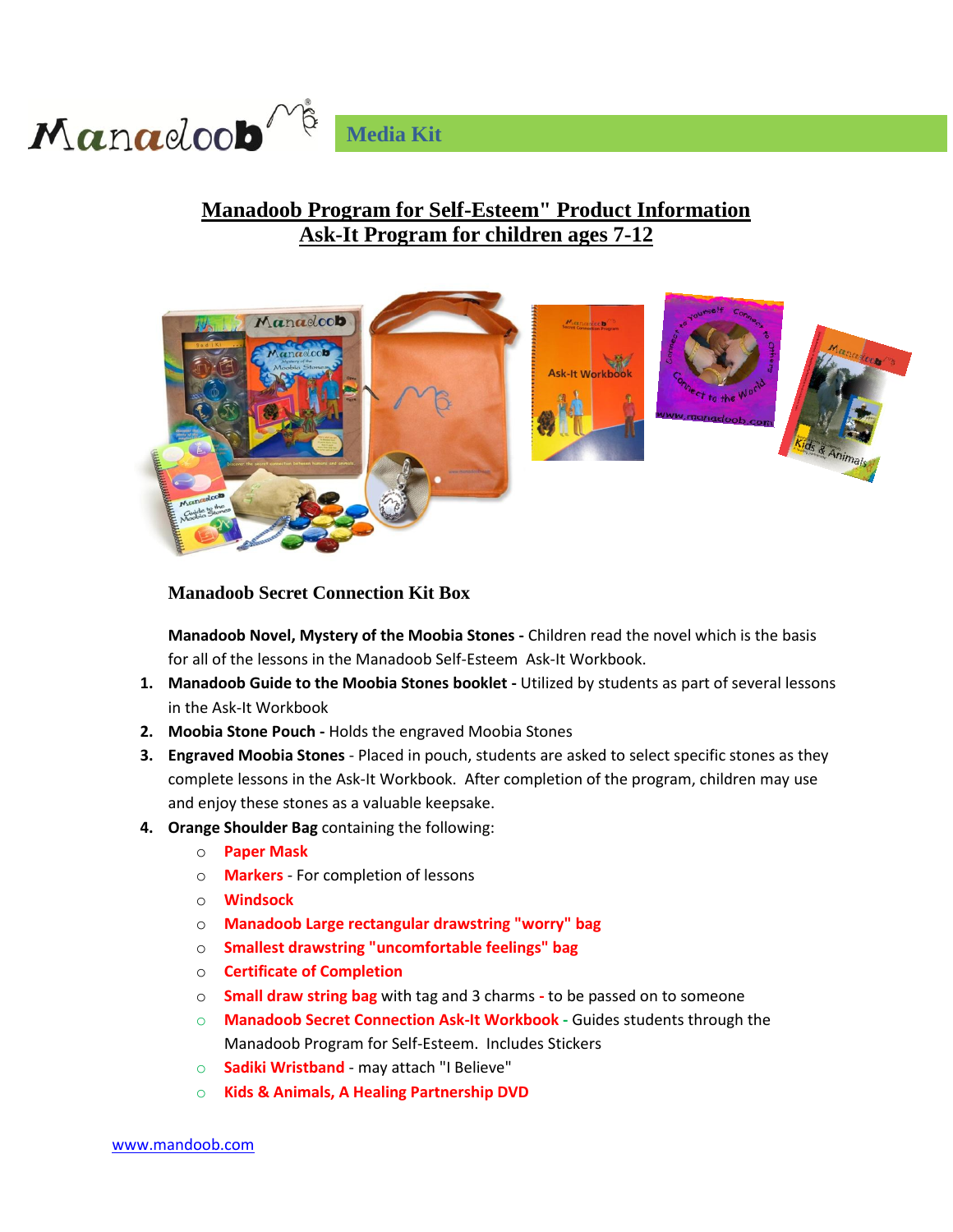

## **Manadoob Program for Self-Esteem" Product Information Ask-It Program for children ages 7-12**



#### **Manadoob Secret Connection Kit Box**

**Manadoob Novel, Mystery of the Moobia Stones -** Children read the novel which is the basis for all of the lessons in the Manadoob Self-Esteem Ask-It Workbook.

- **1. Manadoob Guide to the Moobia Stones booklet -** Utilized by students as part of several lessons in the Ask-It Workbook
- **2. Moobia Stone Pouch -** Holds the engraved Moobia Stones
- **3. Engraved Moobia Stones**  Placed in pouch, students are asked to select specific stones as they complete lessons in the Ask-It Workbook. After completion of the program, children may use and enjoy these stones as a valuable keepsake.
- **4. Orange Shoulder Bag** containing the following:
	- o **Paper Mask**
	- o **Markers**  For completion of lessons
	- o **Windsock**
	- o **Manadoob Large rectangular drawstring "worry" bag**
	- o **Smallest drawstring "uncomfortable feelings" bag**
	- o **Certificate of Completion**
	- o **Small draw string bag** with tag and 3 charms **-** to be passed on to someone
	- o **Manadoob Secret Connection Ask-It Workbook -** Guides students through the Manadoob Program for Self-Esteem. Includes Stickers
	- o **Sadiki Wristband** may attach "I Believe"
	- o **Kids & Animals, A Healing Partnership DVD**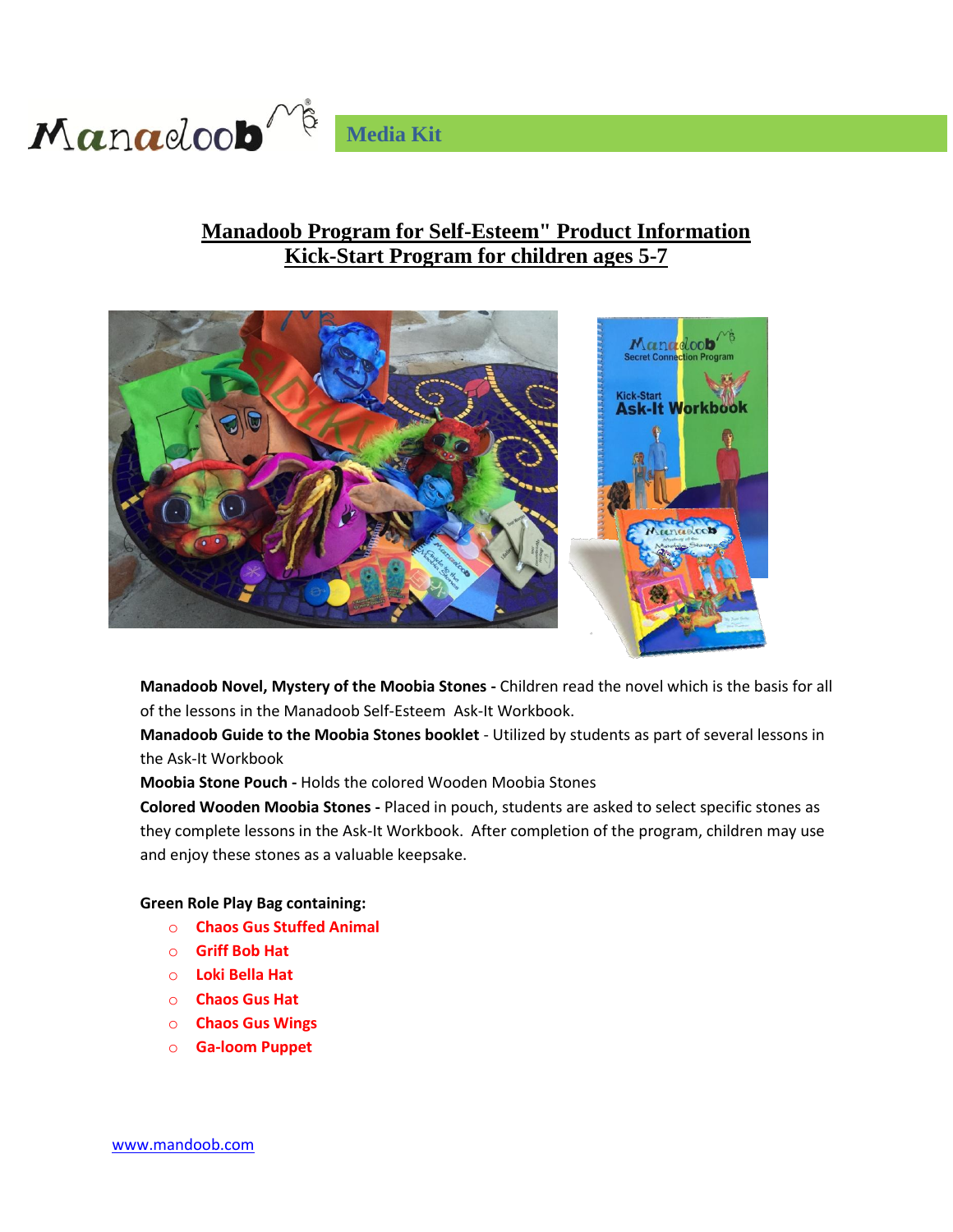

## **Manadoob Program for Self-Esteem" Product Information Kick-Start Program for children ages 5-7**



**Manadoob Novel, Mystery of the Moobia Stones -** Children read the novel which is the basis for all of the lessons in the Manadoob Self-Esteem Ask-It Workbook.

**Manadoob Guide to the Moobia Stones booklet** - Utilized by students as part of several lessons in the Ask-It Workbook

**Moobia Stone Pouch -** Holds the colored Wooden Moobia Stones

**Colored Wooden Moobia Stones -** Placed in pouch, students are asked to select specific stones as they complete lessons in the Ask-It Workbook. After completion of the program, children may use and enjoy these stones as a valuable keepsake.

**Green Role Play Bag containing:**

- o **Chaos Gus Stuffed Animal**
- o **Griff Bob Hat**
- o **Loki Bella Hat**
- o **Chaos Gus Hat**
- o **Chaos Gus Wings**
- o **Ga-loom Puppet**

www.mandoob.com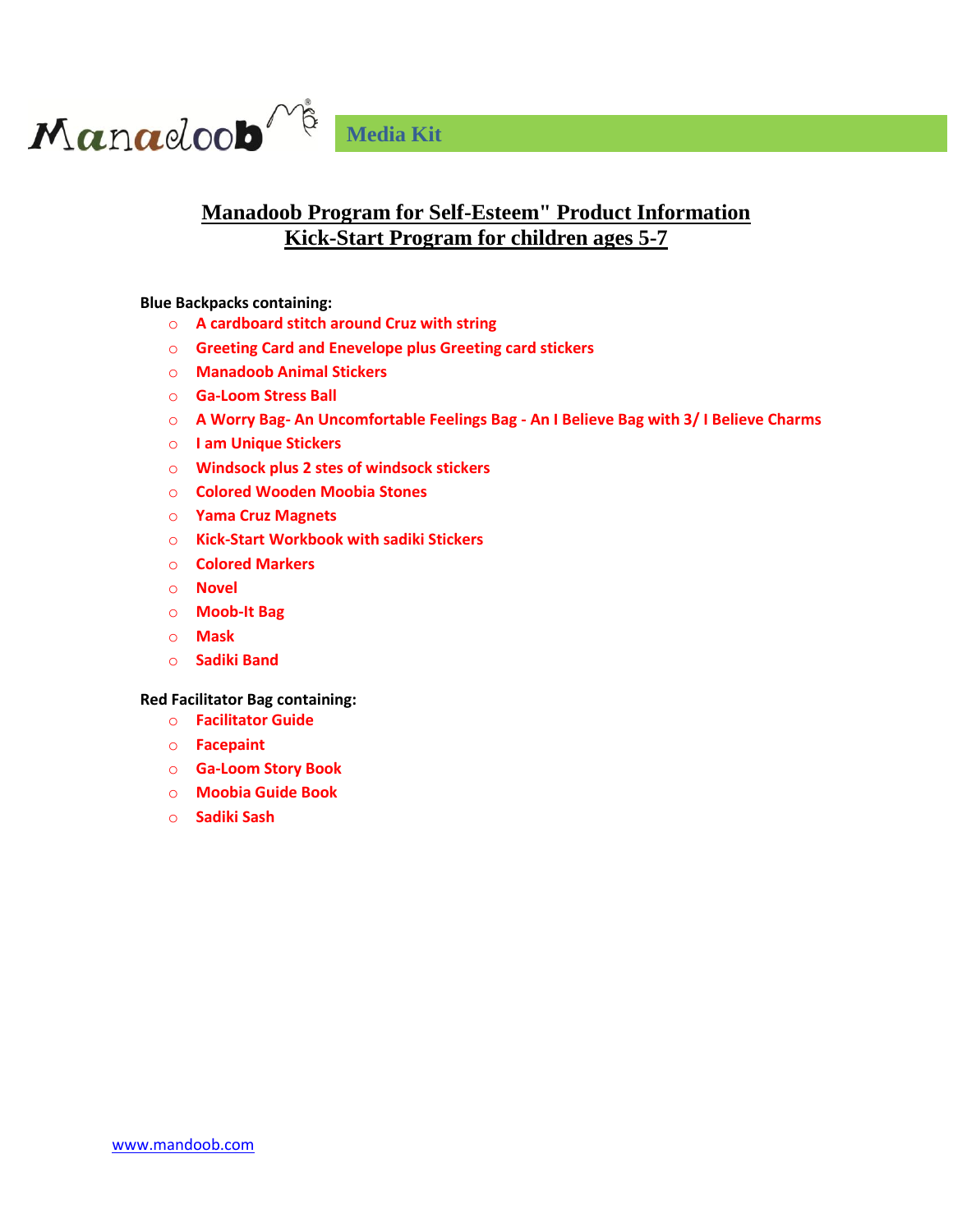

#### **Manadoob Program for Self-Esteem" Product Information Kick-Start Program for children ages 5-7**

**Blue Backpacks containing:**

- o **A cardboard stitch around Cruz with string**
- o **Greeting Card and Enevelope plus Greeting card stickers**
- o **Manadoob Animal Stickers**
- o **Ga-Loom Stress Ball**
- o **A Worry Bag- An Uncomfortable Feelings Bag - An I Believe Bag with 3/ I Believe Charms**
- o **I am Unique Stickers**
- o **Windsock plus 2 stes of windsock stickers**
- o **Colored Wooden Moobia Stones**
- o **Yama Cruz Magnets**
- o **Kick-Start Workbook with sadiki Stickers**
- o **Colored Markers**
- o **Novel**
- o **Moob-It Bag**
- o **Mask**
- o **Sadiki Band**

#### **Red Facilitator Bag containing:**

- o **Facilitator Guide**
- o **Facepaint**
- o **Ga-Loom Story Book**
- o **Moobia Guide Book**
- o **Sadiki Sash**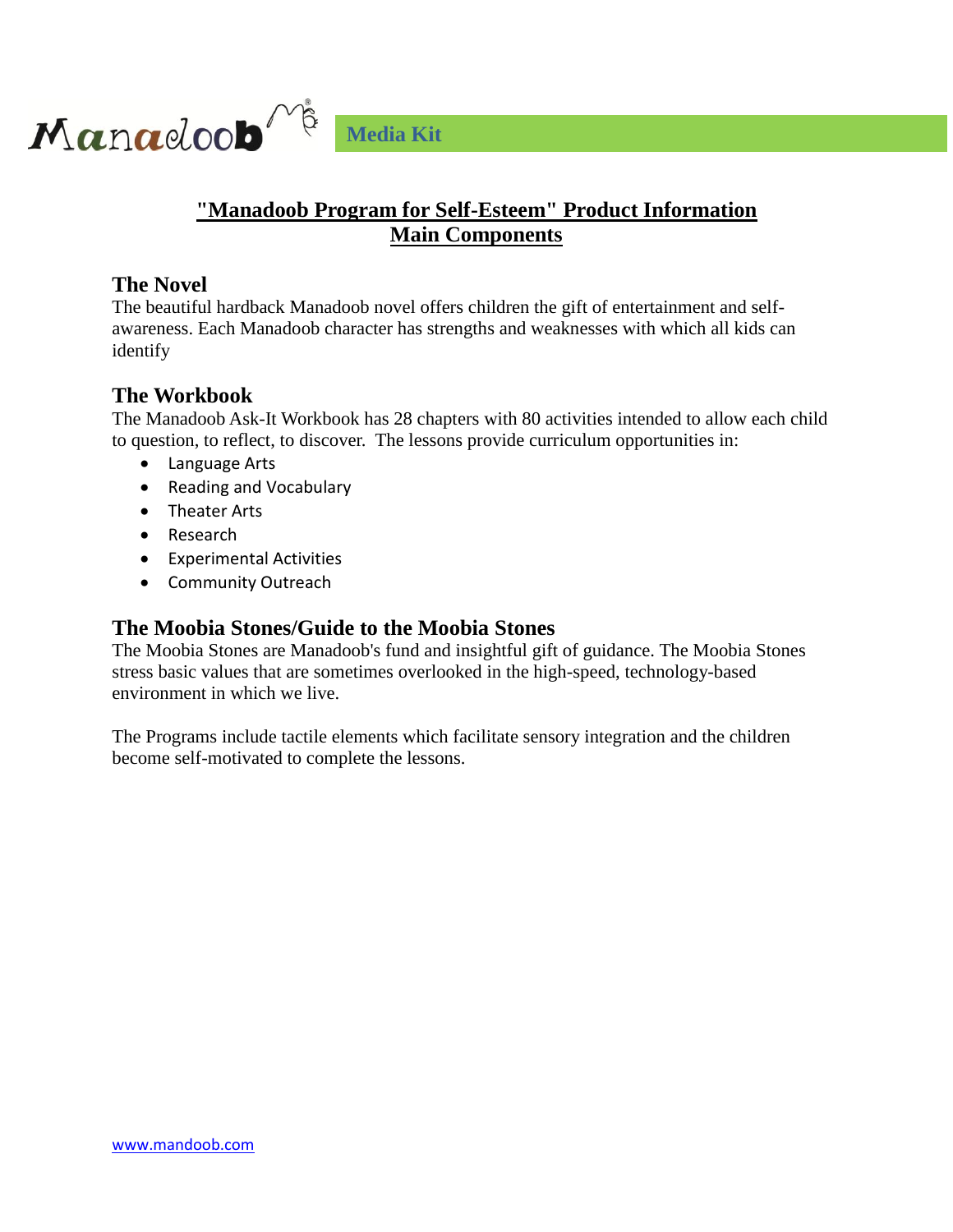

## **"Manadoob Program for Self-Esteem" Product Information Main Components**

#### **The Novel**

The beautiful hardback Manadoob novel offers children the gift of entertainment and selfawareness. Each Manadoob character has strengths and weaknesses with which all kids can identify

#### **The Workbook**

The Manadoob Ask-It Workbook has 28 chapters with 80 activities intended to allow each child to question, to reflect, to discover. The lessons provide curriculum opportunities in:

- Language Arts
- Reading and Vocabulary
- Theater Arts
- Research
- Experimental Activities
- Community Outreach

#### **The Moobia Stones/Guide to the Moobia Stones**

The Moobia Stones are Manadoob's fund and insightful gift of guidance. The Moobia Stones stress basic values that are sometimes overlooked in the high-speed, technology-based environment in which we live.

The Programs include tactile elements which facilitate sensory integration and the children become self-motivated to complete the lessons.